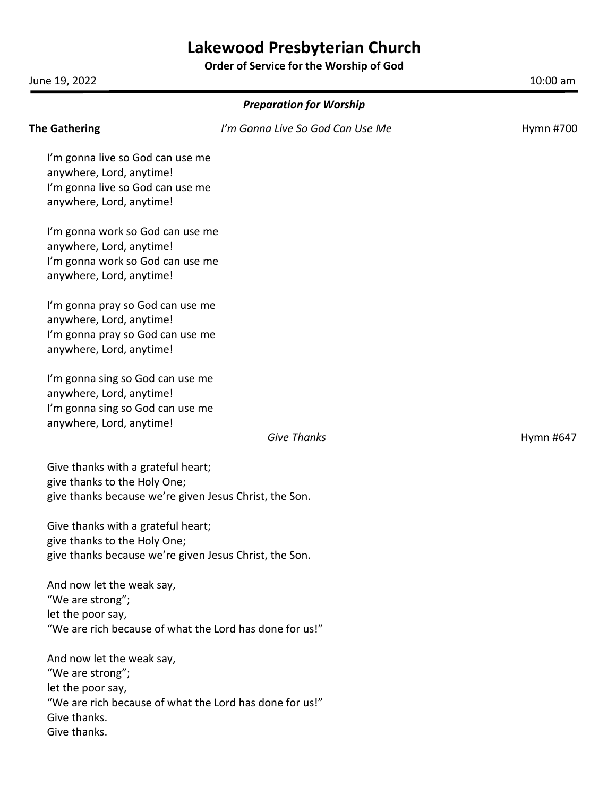# **Lakewood Presbyterian Church**

**Order of Service for the Worship of God**

June 19, 2022 10:00 am

| <b>Preparation for Worship</b>                               |                                  |           |  |
|--------------------------------------------------------------|----------------------------------|-----------|--|
| <b>The Gathering</b>                                         | I'm Gonna Live So God Can Use Me | Hymn #700 |  |
| I'm gonna live so God can use me                             |                                  |           |  |
| anywhere, Lord, anytime!                                     |                                  |           |  |
| I'm gonna live so God can use me                             |                                  |           |  |
| anywhere, Lord, anytime!                                     |                                  |           |  |
| I'm gonna work so God can use me                             |                                  |           |  |
| anywhere, Lord, anytime!                                     |                                  |           |  |
| I'm gonna work so God can use me                             |                                  |           |  |
| anywhere, Lord, anytime!                                     |                                  |           |  |
| I'm gonna pray so God can use me                             |                                  |           |  |
| anywhere, Lord, anytime!                                     |                                  |           |  |
| I'm gonna pray so God can use me                             |                                  |           |  |
| anywhere, Lord, anytime!                                     |                                  |           |  |
| I'm gonna sing so God can use me                             |                                  |           |  |
| anywhere, Lord, anytime!                                     |                                  |           |  |
| I'm gonna sing so God can use me<br>anywhere, Lord, anytime! |                                  |           |  |
|                                                              | <b>Give Thanks</b>               | Hymn #647 |  |
| Give thanks with a grateful heart;                           |                                  |           |  |
| give thanks to the Holy One;                                 |                                  |           |  |
| give thanks because we're given Jesus Christ, the Son.       |                                  |           |  |
| Give thanks with a grateful heart;                           |                                  |           |  |
| give thanks to the Holy One;                                 |                                  |           |  |
| give thanks because we're given Jesus Christ, the Son.       |                                  |           |  |
| And now let the weak say,                                    |                                  |           |  |
| "We are strong";                                             |                                  |           |  |
| let the poor say,                                            |                                  |           |  |
| "We are rich because of what the Lord has done for us!"      |                                  |           |  |
| And now let the weak say,                                    |                                  |           |  |
| "We are strong";                                             |                                  |           |  |
| let the poor say,                                            |                                  |           |  |
| "We are rich because of what the Lord has done for us!"      |                                  |           |  |
| Give thanks.                                                 |                                  |           |  |
| Give thanks.                                                 |                                  |           |  |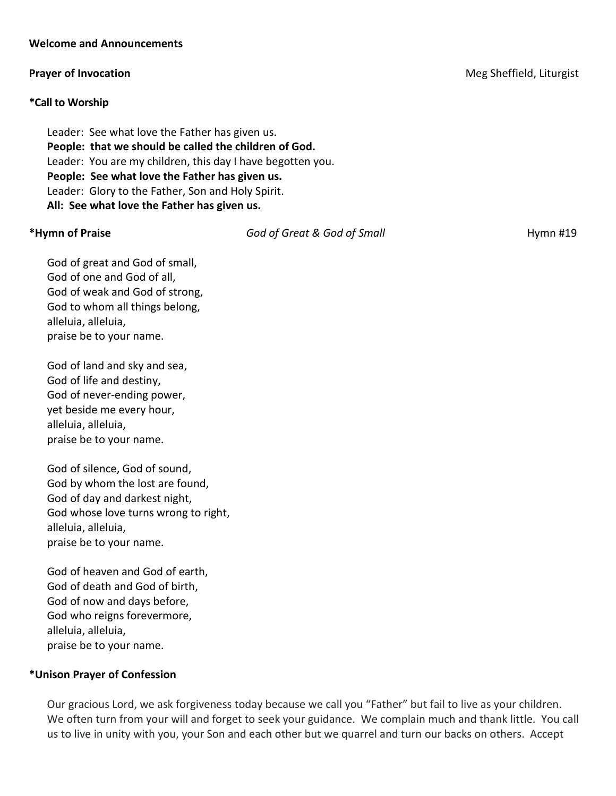## **Welcome and Announcements**

## **\*Call to Worship**

Leader: See what love the Father has given us. **People: that we should be called the children of God.** Leader: You are my children, this day I have begotten you. **People: See what love the Father has given us.** Leader: Glory to the Father, Son and Holy Spirit. **All: See what love the Father has given us.**

**\*Hymn of Praise** *God of Great & God of Small* Hymn #19

God of great and God of small, God of one and God of all, God of weak and God of strong, God to whom all things belong, alleluia, alleluia, praise be to your name.

God of land and sky and sea, God of life and destiny, God of never-ending power, yet beside me every hour, alleluia, alleluia, praise be to your name.

God of silence, God of sound, God by whom the lost are found, God of day and darkest night, God whose love turns wrong to right, alleluia, alleluia, praise be to your name.

God of heaven and God of earth, God of death and God of birth, God of now and days before, God who reigns forevermore, alleluia, alleluia, praise be to your name.

## **\*Unison Prayer of Confession**

Our gracious Lord, we ask forgiveness today because we call you "Father" but fail to live as your children. We often turn from your will and forget to seek your guidance. We complain much and thank little. You call us to live in unity with you, your Son and each other but we quarrel and turn our backs on others. Accept

**Prayer of Invocation Meg Sheffield, Liturgist Meg Sheffield, Liturgist Meg Sheffield, Liturgist**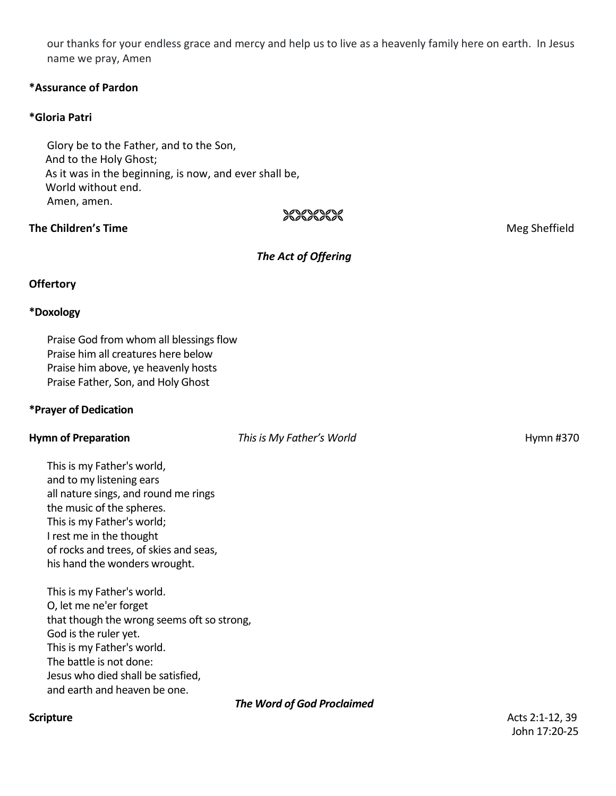our thanks for your endless grace and mercy and help us to live as a heavenly family here on earth. In Jesus name we pray, Amen

## **\*Assurance of Pardon**

## **\*Gloria Patri**

Glory be to the Father, and to the Son, And to the Holy Ghost; As it was in the beginning, is now, and ever shall be, World without end. Amen, amen.

## **The Children's Time Meg Sheffield Meg Sheffield Meg Sheffield**

## *The Act of Offering*

XXXXXXX

## **Offertory**

## **\*Doxology**

Praise God from whom all blessings flow Praise him all creatures here below Praise him above, ye heavenly hosts Praise Father, Son, and Holy Ghost

## **\*Prayer of Dedication**

**Hymn of Preparation** *This is My Father's World* **<b>Example 2008** Hymn #370

This is my Father's world, and to my listening ears all nature sings, and round me rings the music of the spheres. This is my Father's world; I rest me in the thought of rocks and trees, of skies and seas, his hand the wonders wrought.

This is my Father's world. O, let me ne'er forget that though the wrong seems oft so strong, God is the ruler yet. This is my Father's world. The battle is not done: Jesus who died shall be satisfied, and earth and heaven be one.

## *The Word of God Proclaimed*

**Scripture** Acts 2:1-12, 39 John 17:20-25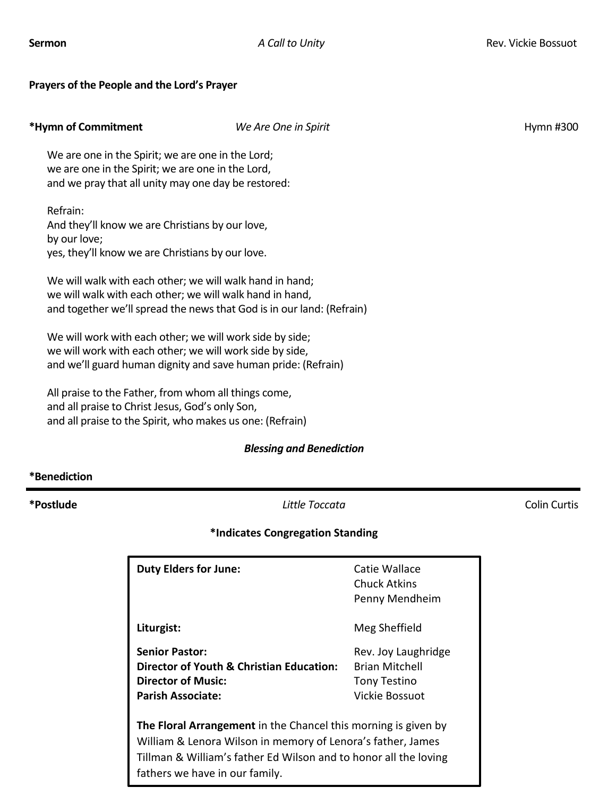## **Prayers of the People and the Lord's Prayer**

| *Hymn of Commitment                                                                                                                                                                           | We Are One in Spirit | Hymn #300 |
|-----------------------------------------------------------------------------------------------------------------------------------------------------------------------------------------------|----------------------|-----------|
| We are one in the Spirit; we are one in the Lord;<br>we are one in the Spirit; we are one in the Lord,<br>and we pray that all unity may one day be restored:                                 |                      |           |
| Refrain:<br>And they'll know we are Christians by our love,<br>by our love;<br>yes, they'll know we are Christians by our love.                                                               |                      |           |
| We will walk with each other; we will walk hand in hand;<br>we will walk with each other; we will walk hand in hand,<br>and together we'll spread the news that God is in our land: (Refrain) |                      |           |
| We will work with each other; we will work side by side;<br>we will work with each other; we will work side by side,<br>and we'll guard human dignity and save human pride: (Refrain)         |                      |           |
| All praise to the Father, from whom all things come,<br>and all praise to Christ Jesus, God's only Son,<br>and all praise to the Spirit, who makes us one: (Refrain)                          |                      |           |

## *Blessing and Benediction*

## **\*Benediction**

**\*Postlude** *Little Toccata* Colin Curtis

## **\*Indicates Congregation Standing**

| <b>Duty Elders for June:</b>                                                                                                                                                                                                        | Catie Wallace<br>Chuck Atkins<br>Penny Mendheim                                       |  |
|-------------------------------------------------------------------------------------------------------------------------------------------------------------------------------------------------------------------------------------|---------------------------------------------------------------------------------------|--|
| Liturgist:                                                                                                                                                                                                                          | Meg Sheffield                                                                         |  |
| <b>Senior Pastor:</b><br>Director of Youth & Christian Education:<br>Director of Music:<br><b>Parish Associate:</b>                                                                                                                 | Rev. Joy Laughridge<br><b>Brian Mitchell</b><br><b>Tony Testino</b><br>Vickie Bossuot |  |
| The Floral Arrangement in the Chancel this morning is given by<br>William & Lenora Wilson in memory of Lenora's father, James<br>Tillman & William's father Ed Wilson and to honor all the loving<br>fathers we have in our family. |                                                                                       |  |